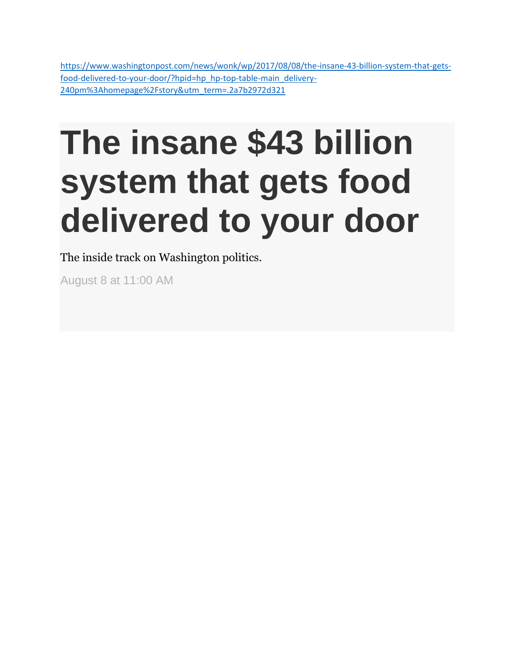[https://www.washingtonpost.com/news/wonk/wp/2017/08/08/the-insane-43-billion-system-that-gets](https://www.washingtonpost.com/news/wonk/wp/2017/08/08/the-insane-43-billion-system-that-gets-food-delivered-to-your-door/?hpid=hp_hp-top-table-main_delivery-240pm%3Ahomepage%2Fstory&utm_term=.2a7b2972d321)[food-delivered-to-your-door/?hpid=hp\\_hp-top-table-main\\_delivery-](https://www.washingtonpost.com/news/wonk/wp/2017/08/08/the-insane-43-billion-system-that-gets-food-delivered-to-your-door/?hpid=hp_hp-top-table-main_delivery-240pm%3Ahomepage%2Fstory&utm_term=.2a7b2972d321)[240pm%3Ahomepage%2Fstory&utm\\_term=.2a7b2972d321](https://www.washingtonpost.com/news/wonk/wp/2017/08/08/the-insane-43-billion-system-that-gets-food-delivered-to-your-door/?hpid=hp_hp-top-table-main_delivery-240pm%3Ahomepage%2Fstory&utm_term=.2a7b2972d321)

## **The insane \$43 billion system that gets food delivered to your door**

The inside track on Washington politics.

August 8 at 11:00 AM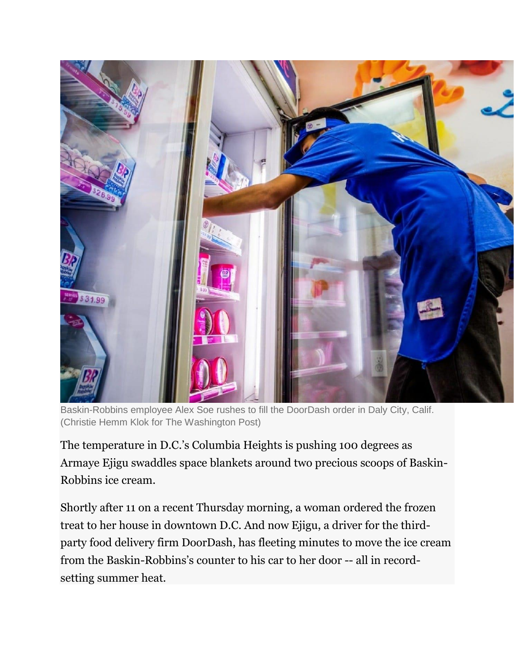

Baskin-Robbins employee Alex Soe rushes to fill the DoorDash order in Daly City, Calif. (Christie Hemm Klok for The Washington Post)

The temperature in D.C.'s Columbia Heights is pushing 100 degrees as Armaye Ejigu swaddles space blankets around two precious scoops of Baskin-Robbins ice cream.

Shortly after 11 on a recent Thursday morning, a woman ordered the frozen treat to her house in downtown D.C. And now Ejigu, a driver for the thirdparty food delivery firm DoorDash, has fleeting minutes to move the ice cream from the Baskin-Robbins's counter to his car to her door -- all in recordsetting summer heat.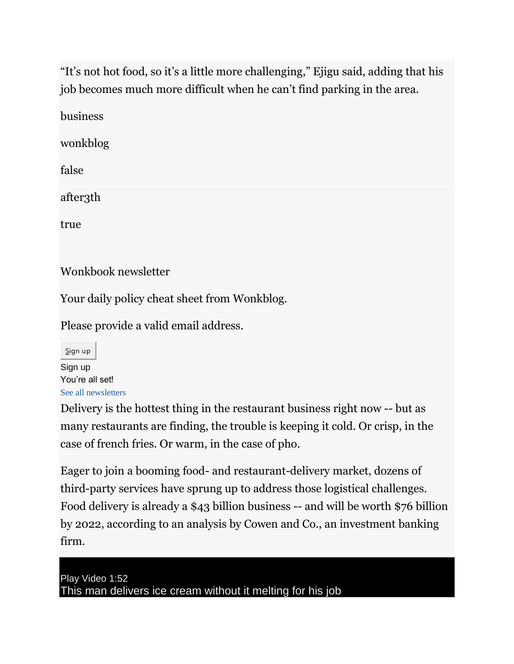"It's not hot food, so it's a little more challenging," Ejigu said, adding that his job becomes much more difficult when he can't find parking in the area.

business

wonkblog

false

after3th

true

Wonkbook newsletter

Your daily policy cheat sheet from Wonkblog.

Please provide a valid email address.

Sign up Sign up You're all set! [See all newsletters](https://subscribe.washingtonpost.com/newsletters)

Delivery is the hottest thing in the restaurant business right now -- but as many restaurants are finding, the trouble is keeping it cold. Or crisp, in the case of french fries. Or warm, in the case of pho.

Eager to join a booming food- and restaurant-delivery market, dozens of third-party services have sprung up to address those logistical challenges. Food delivery is already a \$43 billion business -- and will be worth \$76 billion by 2022, according to an analysis by Cowen and Co., an investment banking firm.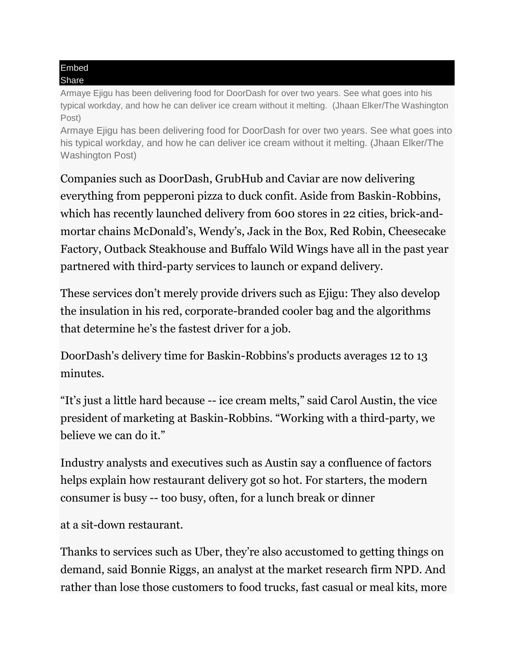## Embed Share

Armaye Ejigu has been delivering food for DoorDash for over two years. See what goes into his typical workday, and how he can deliver ice cream without it melting. (Jhaan Elker/The Washington Post)

Armaye Ejigu has been delivering food for DoorDash for over two years. See what goes into his typical workday, and how he can deliver ice cream without it melting. (Jhaan Elker/The Washington Post)

Companies such as DoorDash, GrubHub and Caviar are now delivering everything from pepperoni pizza to duck confit. Aside from Baskin-Robbins, which has recently launched delivery from 600 stores in 22 cities, brick-andmortar chains McDonald's, Wendy's, Jack in the Box, Red Robin, Cheesecake Factory, Outback Steakhouse and Buffalo Wild Wings have all in the past year partnered with third-party services to launch or expand delivery.

These services don't merely provide drivers such as Ejigu: They also develop the insulation in his red, corporate-branded cooler bag and the algorithms that determine he's the fastest driver for a job.

DoorDash's delivery time for Baskin-Robbins's products averages 12 to 13 minutes.

"It's just a little hard because -- ice cream melts," said Carol Austin, the vice president of marketing at Baskin-Robbins. "Working with a third-party, we believe we can do it."

Industry analysts and executives such as Austin say a confluence of factors helps explain how restaurant delivery got so hot. For starters, the modern consumer is busy -- too busy, often, for a lunch break or dinner

at a sit-down restaurant.

Thanks to services such as Uber, they're also accustomed to getting things on demand, said Bonnie Riggs, an analyst at the market research firm NPD. And rather than lose those customers to food trucks, fast casual or meal kits, more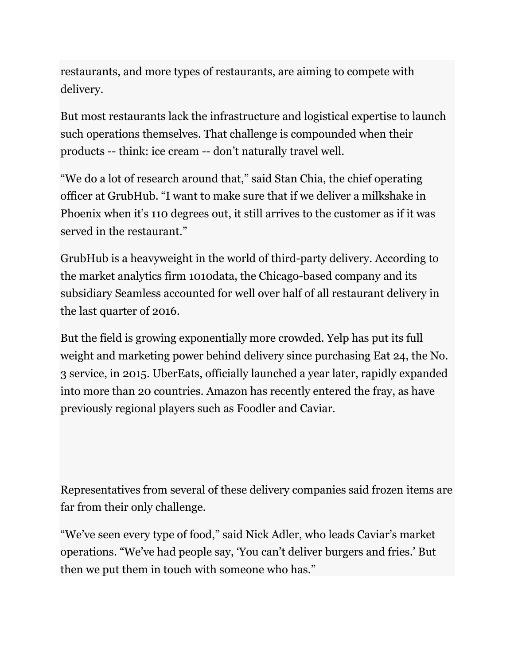restaurants, and more types of restaurants, are aiming to compete with delivery.

But most restaurants lack the infrastructure and logistical expertise to launch such operations themselves. That challenge is compounded when their products -- think: ice cream -- don't naturally travel well.

"We do a lot of research around that," said Stan Chia, the chief operating officer at GrubHub. "I want to make sure that if we deliver a milkshake in Phoenix when it's 110 degrees out, it still arrives to the customer as if it was served in the restaurant."

GrubHub is a heavyweight in the world of third-party delivery. According to the market analytics firm 1010data, the Chicago-based company and its subsidiary Seamless accounted for well over half of all restaurant delivery in the last quarter of 2016.

But the field is growing exponentially more crowded. Yelp has put its full weight and marketing power behind delivery since purchasing Eat 24, the No. 3 service, in 2015. UberEats, officially launched a year later, rapidly expanded into more than 20 countries. Amazon has recently entered the fray, as have previously regional players such as Foodler and Caviar.

Representatives from several of these delivery companies said frozen items are far from their only challenge.

"We've seen every type of food," said Nick Adler, who leads Caviar's market operations. "We've had people say, 'You can't deliver burgers and fries.' But then we put them in touch with someone who has."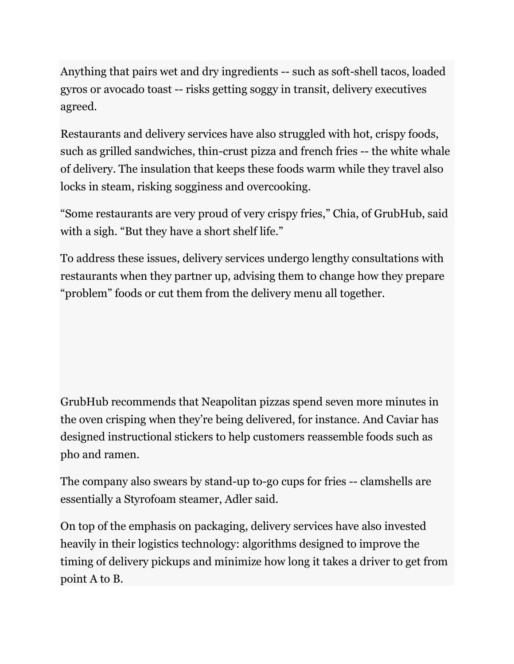Anything that pairs wet and dry ingredients -- such as soft-shell tacos, loaded gyros or avocado toast -- risks getting soggy in transit, delivery executives agreed.

Restaurants and delivery services have also struggled with hot, crispy foods, such as grilled sandwiches, thin-crust pizza and french fries -- the white whale of delivery. The insulation that keeps these foods warm while they travel also locks in steam, risking sogginess and overcooking.

"Some restaurants are very proud of very crispy fries," Chia, of GrubHub, said with a sigh. "But they have a short shelf life."

To address these issues, delivery services undergo lengthy consultations with restaurants when they partner up, advising them to change how they prepare "problem" foods or cut them from the delivery menu all together.

GrubHub recommends that Neapolitan pizzas spend seven more minutes in the oven crisping when they're being delivered, for instance. And Caviar has designed instructional stickers to help customers reassemble foods such as pho and ramen.

The company also swears by stand-up to-go cups for fries -- clamshells are essentially a Styrofoam steamer, Adler said.

On top of the emphasis on packaging, delivery services have also invested heavily in their logistics technology: algorithms designed to improve the timing of delivery pickups and minimize how long it takes a driver to get from point A to B.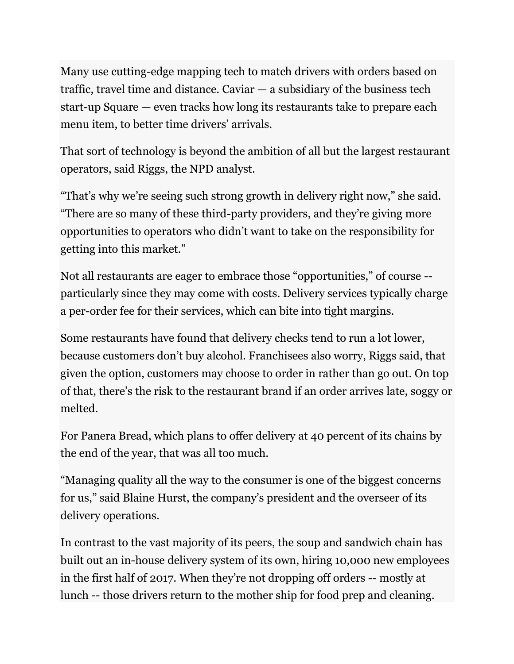Many use cutting-edge mapping tech to match drivers with orders based on traffic, travel time and distance. Caviar — a subsidiary of the business tech start-up Square — even tracks how long its restaurants take to prepare each menu item, to better time drivers' arrivals.

That sort of technology is beyond the ambition of all but the largest restaurant operators, said Riggs, the NPD analyst.

"That's why we're seeing such strong growth in delivery right now," she said. "There are so many of these third-party providers, and they're giving more opportunities to operators who didn't want to take on the responsibility for getting into this market."

Not all restaurants are eager to embrace those "opportunities," of course - particularly since they may come with costs. Delivery services typically charge a per-order fee for their services, which can bite into tight margins.

Some restaurants have found that delivery checks tend to run a lot lower, because customers don't buy alcohol. Franchisees also worry, Riggs said, that given the option, customers may choose to order in rather than go out. On top of that, there's the risk to the restaurant brand if an order arrives late, soggy or melted.

For Panera Bread, which plans to offer delivery at 40 percent of its chains by the end of the year, that was all too much.

"Managing quality all the way to the consumer is one of the biggest concerns for us," said Blaine Hurst, the company's president and the overseer of its delivery operations.

In contrast to the vast majority of its peers, the soup and sandwich chain has built out an in-house delivery system of its own, hiring 10,000 new employees in the first half of 2017. When they're not dropping off orders -- mostly at lunch -- those drivers return to the mother ship for food prep and cleaning.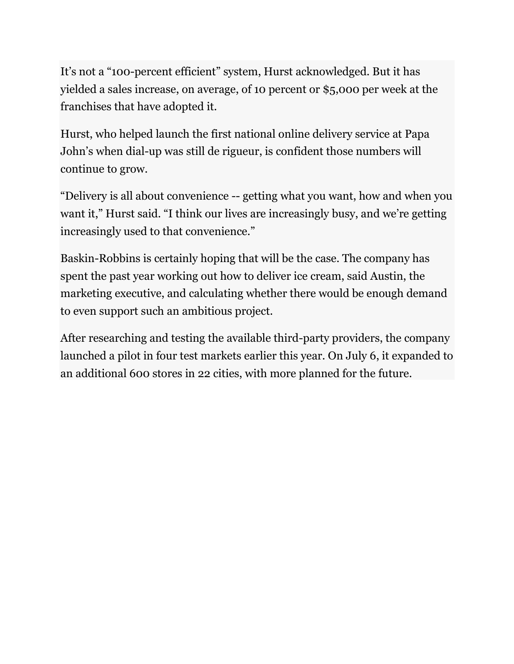It's not a "100-percent efficient" system, Hurst acknowledged. But it has yielded a sales increase, on average, of 10 percent or \$5,000 per week at the franchises that have adopted it.

Hurst, who helped launch the first national online delivery service at Papa John's when dial-up was still de rigueur, is confident those numbers will continue to grow.

"Delivery is all about convenience -- getting what you want, how and when you want it," Hurst said. "I think our lives are increasingly busy, and we're getting increasingly used to that convenience."

Baskin-Robbins is certainly hoping that will be the case. The company has spent the past year working out how to deliver ice cream, said Austin, the marketing executive, and calculating whether there would be enough demand to even support such an ambitious project.

After researching and testing the available third-party providers, the company launched a pilot in four test markets earlier this year. On July 6, it expanded to an additional 600 stores in 22 cities, with more planned for the future.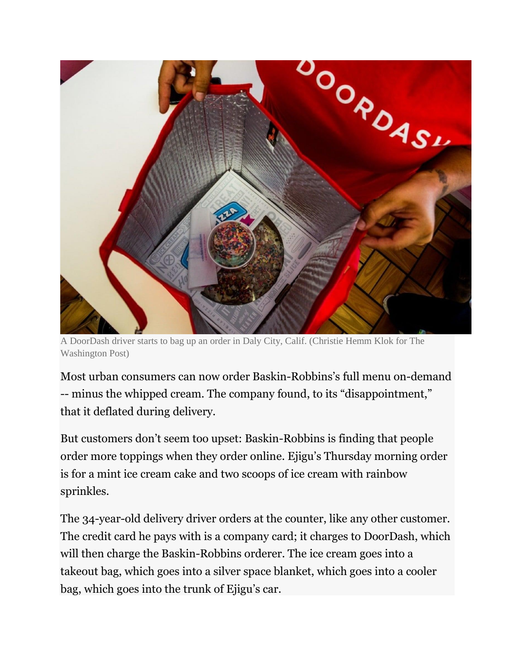

A DoorDash driver starts to bag up an order in Daly City, Calif. (Christie Hemm Klok for The Washington Post)

Most urban consumers can now order Baskin-Robbins's full menu on-demand -- minus the whipped cream. The company found, to its "disappointment," that it deflated during delivery.

But customers don't seem too upset: Baskin-Robbins is finding that people order more toppings when they order online. Ejigu's Thursday morning order is for a mint ice cream cake and two scoops of ice cream with rainbow sprinkles.

The 34-year-old delivery driver orders at the counter, like any other customer. The credit card he pays with is a company card; it charges to DoorDash, which will then charge the Baskin-Robbins orderer. The ice cream goes into a takeout bag, which goes into a silver space blanket, which goes into a cooler bag, which goes into the trunk of Ejigu's car.